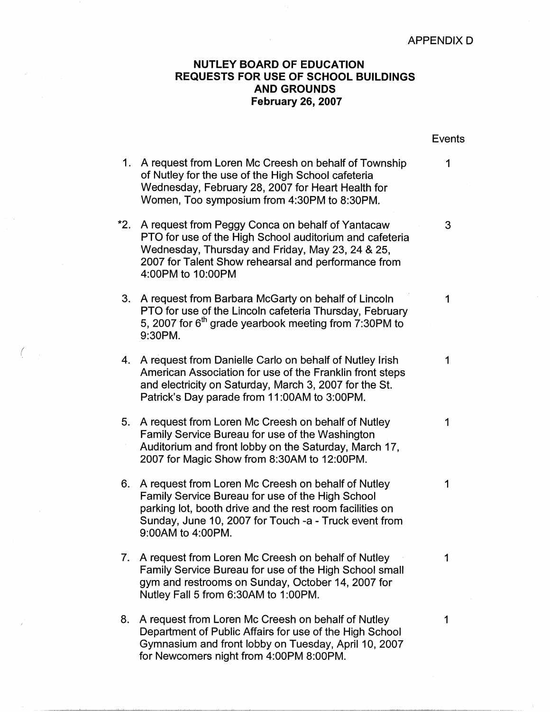## APPENDIX D

## **NUTLEY BOARD OF EDUCATION REQUESTS FOR USE OF SCHOOL BUILDINGS AND GROUNDS February 26, 2007**

|     |                                                                                                                                                                                                                                                  | Events |
|-----|--------------------------------------------------------------------------------------------------------------------------------------------------------------------------------------------------------------------------------------------------|--------|
| 1.  | A request from Loren Mc Creesh on behalf of Township<br>of Nutley for the use of the High School cafeteria<br>Wednesday, February 28, 2007 for Heart Health for<br>Women, Too symposium from 4:30PM to 8:30PM.                                   | 1      |
| *2. | A request from Peggy Conca on behalf of Yantacaw<br>PTO for use of the High School auditorium and cafeteria<br>Wednesday, Thursday and Friday, May 23, 24 & 25,<br>2007 for Talent Show rehearsal and performance from<br>4:00PM to 10:00PM      | 3      |
| 3.  | A request from Barbara McGarty on behalf of Lincoln<br>PTO for use of the Lincoln cafeteria Thursday, February<br>5, 2007 for 6 <sup>th</sup> grade yearbook meeting from 7:30PM to<br>9:30PM.                                                   | 1      |
| 4.  | A request from Danielle Carlo on behalf of Nutley Irish<br>American Association for use of the Franklin front steps<br>and electricity on Saturday, March 3, 2007 for the St.<br>Patrick's Day parade from 11:00AM to 3:00PM.                    | 1      |
| 5.  | A request from Loren Mc Creesh on behalf of Nutley<br>Family Service Bureau for use of the Washington<br>Auditorium and front lobby on the Saturday, March 17,<br>2007 for Magic Show from 8:30AM to 12:00PM.                                    | 1      |
| 6.  | A request from Loren Mc Creesh on behalf of Nutley<br>Family Service Bureau for use of the High School<br>parking lot, booth drive and the rest room facilities on<br>Sunday, June 10, 2007 for Touch -a - Truck event from<br>9:00AM to 4:00PM. | 1      |
| 7.  | A request from Loren Mc Creesh on behalf of Nutley<br>Family Service Bureau for use of the High School small<br>gym and restrooms on Sunday, October 14, 2007 for<br>Nutley Fall 5 from 6:30AM to 1:00PM.                                        |        |
| 8.  | A request from Loren Mc Creesh on behalf of Nutley<br>Department of Public Affairs for use of the High School<br>Gymnasium and front lobby on Tuesday, April 10, 2007<br>for Newcomers night from 4:00PM 8:00PM.                                 | 1      |

*(* 

 $\sim 10$